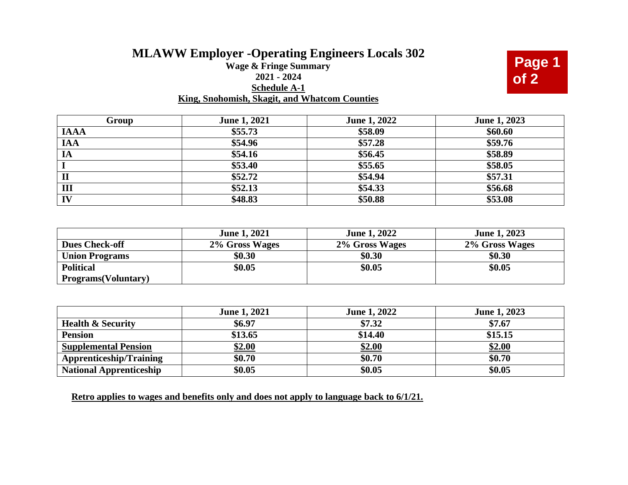## **MLAWW Employer -Operating Engineers Locals 302**

## **Wage & Fringe Summary 2021 - 2024 Schedule A-1 King, Snohomish, Skagit, and Whatcom Counties**



| Group        | <b>June 1, 2021</b> | June 1, 2022 | June 1, 2023 |
|--------------|---------------------|--------------|--------------|
| <b>IAAA</b>  | \$55.73             | \$58.09      | \$60.60      |
| <b>IAA</b>   | \$54.96             | \$57.28      | \$59.76      |
| IA           | \$54.16             | \$56.45      | \$58.89      |
|              | \$53.40             | \$55.65      | \$58.05      |
| $\mathbf{I}$ | \$52.72             | \$54.94      | \$57.31      |
| Ш            | \$52.13             | \$54.33      | \$56.68      |
| IV           | \$48.83             | \$50.88      | \$53.08      |

|                             | <b>June 1, 2021</b> | <b>June 1, 2022</b> | <b>June 1, 2023</b> |
|-----------------------------|---------------------|---------------------|---------------------|
| <b>Dues Check-off</b>       | 2% Gross Wages      | 2% Gross Wages      | 2% Gross Wages      |
| <b>Union Programs</b>       | \$0.30              | \$0.30              | \$0.30              |
| <b>Political</b>            | \$0.05              | \$0.05              | \$0.05              |
| <b>Programs</b> (Voluntary) |                     |                     |                     |

|                                | <b>June 1, 2021</b> | <b>June 1, 2022</b> | <b>June 1, 2023</b> |
|--------------------------------|---------------------|---------------------|---------------------|
| <b>Health &amp; Security</b>   | \$6.97              | \$7.32              | \$7.67              |
| <b>Pension</b>                 | \$13.65             | \$14.40             | \$15.15             |
| <b>Supplemental Pension</b>    | \$2.00              | \$2.00              | <b>\$2.00</b>       |
| <b>Apprenticeship/Training</b> | \$0.70              | \$0.70              | \$0.70              |
| <b>National Apprenticeship</b> | \$0.05              | \$0.05              | \$0.05              |

**Retro applies to wages and benefits only and does not apply to language back to 6/1/21.**